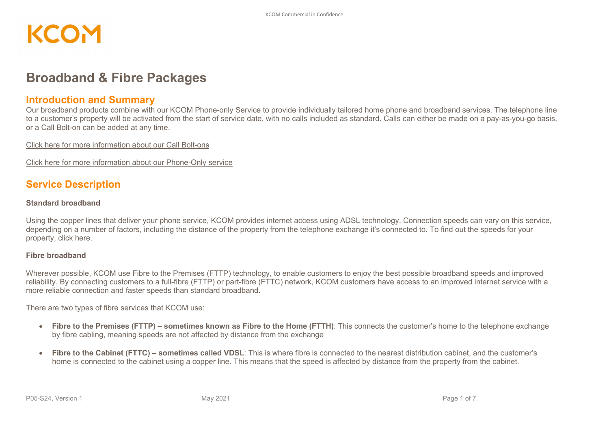### **Broadband & Fibre Packages**

#### **Introduction and Summary**

Our broadband products combine with our KCOM Phone-only Service to provide individually tailored home phone and broadband services. The telephone line to a customer's property will be activated from the start of service date, with no calls included as standard. Calls can either be made on a pay-as-you-go basis, or a Call Bolt-on can be added at any time.

[Click here for more information about our Call Bolt-ons](http://pricing.kcomhome.com/media/1552/p03-s27_kcomconsumer-call-bolt-ons.pdf)

[Click here for more information about our Phone-Only service](http://pricing.kcomhome.com/media/1547/p03-s26_kcomconsumerphone-onlyservice.pdf)

#### **Service Description**

#### **Standard broadband**

Using the copper lines that deliver your phone service, KCOM provides internet access using ADSL technology. Connection speeds can vary on this service, depending on a number of factors, including the distance of the property from the telephone exchange it's connected to. To find out the speeds for your property, [click here.](http://kcomhome.com/products/broadband)

#### **Fibre broadband**

Wherever possible, KCOM use Fibre to the Premises (FTTP) technology, to enable customers to enjoy the best possible broadband speeds and improved reliability. By connecting customers to a full-fibre (FTTP) or part-fibre (FTTC) network, KCOM customers have access to an improved internet service with a more reliable connection and faster speeds than standard broadband.

There are two types of fibre services that KCOM use:

- **Fibre to the Premises (FTTP) – sometimes known as Fibre to the Home (FTTH)**: This connects the customer's home to the telephone exchange by fibre cabling, meaning speeds are not affected by distance from the exchange
- **Fibre to the Cabinet (FTTC) – sometimes called VDSL**: This is where fibre is connected to the nearest distribution cabinet, and the customer's home is connected to the cabinet using a copper line. This means that the speed is affected by distance from the property from the cabinet.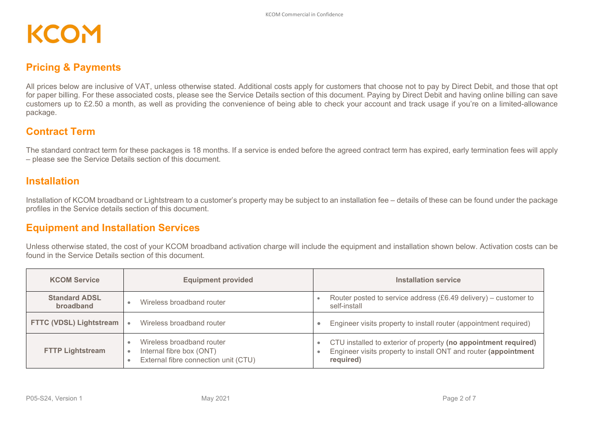### **Pricing & Payments**

All prices below are inclusive of VAT, unless otherwise stated. Additional costs apply for customers that choose not to pay by Direct Debit, and those that opt for paper billing. For these associated costs, please see the Service Details section of this document. Paying by Direct Debit and having online billing can save customers up to £2.50 a month, as well as providing the convenience of being able to check your account and track usage if you're on a limited-allowance package.

#### **Contract Term**

The standard contract term for these packages is 18 months. If a service is ended before the agreed contract term has expired, early termination fees will apply – please see the Service Details section of this document.

### **Installation**

Installation of KCOM broadband or Lightstream to a customer's property may be subject to an installation fee – details of these can be found under the package profiles in the Service details section of this document.

### **Equipment and Installation Services**

Unless otherwise stated, the cost of your KCOM broadband activation charge will include the equipment and installation shown below. Activation costs can be found in the Service Details section of this document.

| <b>KCOM Service</b>               | <b>Equipment provided</b>                                                                     | Installation service                                                                                                                            |
|-----------------------------------|-----------------------------------------------------------------------------------------------|-------------------------------------------------------------------------------------------------------------------------------------------------|
| <b>Standard ADSL</b><br>broadband | Wireless broadband router                                                                     | Router posted to service address $(£6.49$ delivery) – customer to<br>self-install                                                               |
| <b>FTTC (VDSL) Lightstream</b>    | Wireless broadband router                                                                     | Engineer visits property to install router (appointment required)                                                                               |
| <b>FTTP Lightstream</b>           | Wireless broadband router<br>Internal fibre box (ONT)<br>External fibre connection unit (CTU) | CTU installed to exterior of property (no appointment required)<br>Engineer visits property to install ONT and router (appointment<br>required) |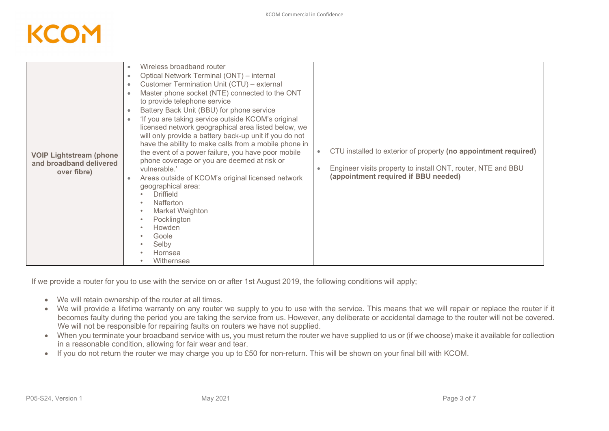| <b>VOIP Lightstream (phone</b><br>and broadband delivered<br>over fibre) | Master phone socket (NTE) connected to the ONT<br>to provide telephone service<br>Battery Back Unit (BBU) for phone service<br>$\bullet$<br>'If you are taking service outside KCOM's original<br>licensed network geographical area listed below, we<br>will only provide a battery back-up unit if you do not<br>have the ability to make calls from a mobile phone in<br>the event of a power failure, you have poor mobile<br>phone coverage or you are deemed at risk or<br>vulnerable.'<br>Areas outside of KCOM's original licensed network<br>geographical area:<br><b>Driffield</b><br>Nafferton<br>Market Weighton<br>$\bullet$<br>Pocklington<br>$\bullet$<br>Howden<br>$\bullet$<br>Goole<br>Selby<br>$\bullet$<br>Hornsea<br>$\bullet$<br>Withernsea | CTU installed to exterior of property (no appointment required)<br>$\bullet$<br>Engineer visits property to install ONT, router, NTE and BBU<br>(appointment required if BBU needed) |
|--------------------------------------------------------------------------|-------------------------------------------------------------------------------------------------------------------------------------------------------------------------------------------------------------------------------------------------------------------------------------------------------------------------------------------------------------------------------------------------------------------------------------------------------------------------------------------------------------------------------------------------------------------------------------------------------------------------------------------------------------------------------------------------------------------------------------------------------------------|--------------------------------------------------------------------------------------------------------------------------------------------------------------------------------------|
|--------------------------------------------------------------------------|-------------------------------------------------------------------------------------------------------------------------------------------------------------------------------------------------------------------------------------------------------------------------------------------------------------------------------------------------------------------------------------------------------------------------------------------------------------------------------------------------------------------------------------------------------------------------------------------------------------------------------------------------------------------------------------------------------------------------------------------------------------------|--------------------------------------------------------------------------------------------------------------------------------------------------------------------------------------|

If we provide a router for you to use with the service on or after 1st August 2019, the following conditions will apply;

- We will retain ownership of the router at all times.
- We will provide a lifetime warranty on any router we supply to you to use with the service. This means that we will repair or replace the router if it becomes faulty during the period you are taking the service from us. However, any deliberate or accidental damage to the router will not be covered. We will not be responsible for repairing faults on routers we have not supplied.
- When you terminate your broadband service with us, you must return the router we have supplied to us or (if we choose) make it available for collection in a reasonable condition, allowing for fair wear and tear.
- If you do not return the router we may charge you up to £50 for non-return. This will be shown on your final bill with KCOM.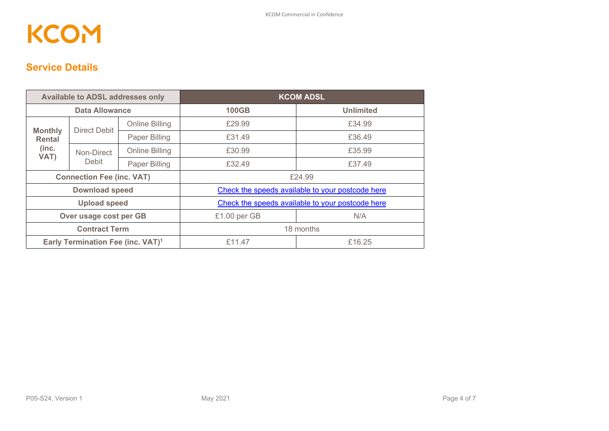### **Service Details**

| <b>Available to ADSL addresses only</b>       |                     |                       | <b>KCOM ADSL</b>                                 |                  |  |  |
|-----------------------------------------------|---------------------|-----------------------|--------------------------------------------------|------------------|--|--|
| <b>Data Allowance</b>                         |                     |                       | <b>100GB</b>                                     | <b>Unlimited</b> |  |  |
| <b>Monthly</b>                                | <b>Direct Debit</b> | <b>Online Billing</b> | £29.99                                           | £34.99           |  |  |
| <b>Rental</b>                                 |                     | Paper Billing         | £31.49                                           | £36.49           |  |  |
| (inc.<br>VAT)                                 | Non-Direct          | <b>Online Billing</b> | £30.99                                           | £35.99           |  |  |
|                                               | Debit               | Paper Billing         | £32.49                                           | £37.49           |  |  |
| <b>Connection Fee (inc. VAT)</b>              |                     |                       | £24.99                                           |                  |  |  |
| <b>Download speed</b>                         |                     |                       | Check the speeds available to your postcode here |                  |  |  |
| <b>Upload speed</b>                           |                     |                       | Check the speeds available to your postcode here |                  |  |  |
| Over usage cost per GB                        |                     |                       | £1.00 per GB                                     | N/A              |  |  |
| <b>Contract Term</b>                          |                     |                       | 18 months                                        |                  |  |  |
| Early Termination Fee (inc. VAT) <sup>1</sup> |                     |                       | £11.47                                           | £16.25           |  |  |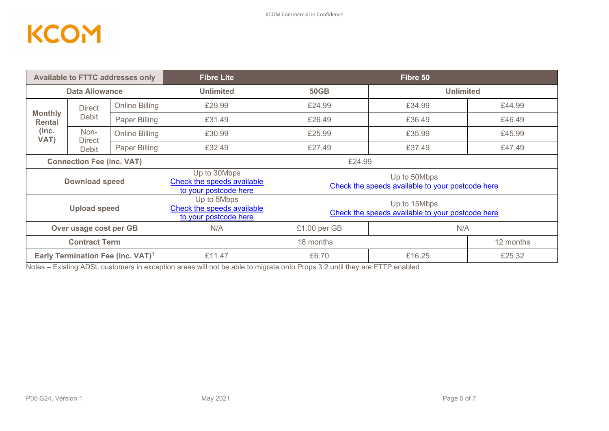| <b>Available to FTTC addresses only</b>       |                 |                       | <b>Fibre Lite</b>                                                   | Fibre 50                                                         |                  |           |  |  |
|-----------------------------------------------|-----------------|-----------------------|---------------------------------------------------------------------|------------------------------------------------------------------|------------------|-----------|--|--|
| <b>Data Allowance</b>                         |                 |                       | <b>Unlimited</b>                                                    | <b>50GB</b>                                                      | <b>Unlimited</b> |           |  |  |
|                                               | <b>Direct</b>   | Online Billing        | £29.99                                                              | £24.99                                                           | £34.99           | £44.99    |  |  |
| <b>Monthly</b><br>Rental                      | <b>Debit</b>    | Paper Billing         | £31.49                                                              | £26.49                                                           | £36.49           | £46.49    |  |  |
| (inc.<br>VAT)                                 | Non-            | <b>Online Billing</b> | £30.99                                                              | £25.99                                                           | £35.99           | £45.99    |  |  |
|                                               | Direct<br>Debit | Paper Billing         | £32.49                                                              | £27.49                                                           | £37.49           | £47.49    |  |  |
| <b>Connection Fee (inc. VAT)</b>              |                 |                       | £24.99                                                              |                                                                  |                  |           |  |  |
| <b>Download speed</b>                         |                 |                       | Up to 30Mbps<br>Check the speeds available<br>to your postcode here | Up to 50Mbps<br>Check the speeds available to your postcode here |                  |           |  |  |
| <b>Upload speed</b>                           |                 |                       | Up to 5Mbps<br>Check the speeds available<br>to your postcode here  | Up to 15Mbps<br>Check the speeds available to your postcode here |                  |           |  |  |
| Over usage cost per GB                        |                 |                       | N/A                                                                 | N/A<br>£1.00 per GB                                              |                  |           |  |  |
| <b>Contract Term</b>                          |                 |                       |                                                                     | 18 months                                                        |                  | 12 months |  |  |
| Early Termination Fee (inc. VAT) <sup>1</sup> |                 |                       | £11.47                                                              | £6.70                                                            | £16.25           | £25.32    |  |  |

Notes – Existing ADSL customers in exception areas will not be able to migrate onto Props 3.2 until they are FTTP enabled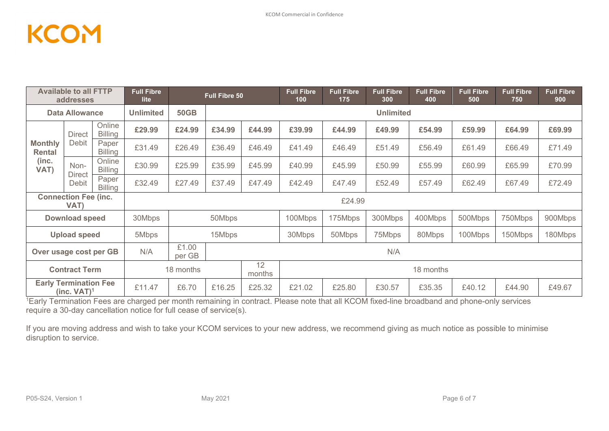| <b>Available to all FTTP</b><br><b>Full Fibre</b><br><b>Full Fibre 50</b><br>lite<br>addresses |                                               |                          |                                                                                    | <b>Full Fibre</b><br>100  | <b>Full Fibre</b><br>175 | <b>Full Fibre</b><br>300 | <b>Full Fibre</b><br>400 | <b>Full Fibre</b><br>500 | <b>Full Fibre</b><br>750 | <b>Full Fibre</b><br>900 |        |        |        |
|------------------------------------------------------------------------------------------------|-----------------------------------------------|--------------------------|------------------------------------------------------------------------------------|---------------------------|--------------------------|--------------------------|--------------------------|--------------------------|--------------------------|--------------------------|--------|--------|--------|
| <b>Data Allowance</b>                                                                          |                                               | <b>Unlimited</b>         | <b>50GB</b>                                                                        | <b>Unlimited</b>          |                          |                          |                          |                          |                          |                          |        |        |        |
|                                                                                                | <b>Direct</b>                                 | Online<br><b>Billing</b> | £29.99                                                                             | £24.99                    | £34.99                   | £44.99                   | £39.99                   | £44.99                   | £49.99                   | £54.99                   | £59.99 | £64.99 | £69.99 |
| <b>Monthly</b><br><b>Rental</b>                                                                | Debit                                         | Paper<br><b>Billing</b>  | £31.49                                                                             | £26.49                    | £36.49                   | £46.49                   | £41.49                   | £46.49                   | £51.49                   | £56.49                   | £61.49 | £66.49 | £71.49 |
| (inc.<br>VAT)                                                                                  | Non-<br><b>Direct</b>                         | Online<br><b>Billing</b> | £30.99                                                                             | £25.99                    | £35.99                   | £45.99                   | £40.99                   | £45.99                   | £50.99                   | £55.99                   | £60.99 | £65.99 | £70.99 |
|                                                                                                | <b>Debit</b>                                  | Paper<br><b>Billing</b>  | £32.49                                                                             | £27.49                    | £37.49                   | £47.49                   | £42.49                   | £47.49                   | £52.49                   | £57.49                   | £62.49 | £67.49 | £72.49 |
|                                                                                                | <b>Connection Fee (inc.</b><br>£24.99<br>VAT) |                          |                                                                                    |                           |                          |                          |                          |                          |                          |                          |        |        |        |
|                                                                                                | <b>Download speed</b>                         |                          | 30Mbps<br>50Mbps<br>100Mbps<br>175Mbps<br>300Mbps<br>400Mbps<br>500Mbps<br>750Mbps |                           |                          |                          | 900Mbps                  |                          |                          |                          |        |        |        |
|                                                                                                | <b>Upload speed</b>                           |                          | 15Mbps<br>30Mbps<br>50Mbps<br>80Mbps<br>100Mbps<br>5Mbps<br>75Mbps<br>150Mbps      |                           |                          |                          | 180Mbps                  |                          |                          |                          |        |        |        |
| £1.00<br>N/A<br>Over usage cost per GB<br>per GB                                               |                                               |                          |                                                                                    | N/A                       |                          |                          |                          |                          |                          |                          |        |        |        |
| <b>Contract Term</b>                                                                           |                                               |                          | 18 months                                                                          | 12<br>18 months<br>months |                          |                          |                          |                          |                          |                          |        |        |        |
|                                                                                                | <b>Early Termination Fee</b><br>$(inc. VAT)1$ |                          | £11.47<br>£6.70<br>£16.25<br>£25.32<br>£21.02<br>£25.80<br>£30.57                  |                           |                          |                          | £35.35                   | £40.12                   | £44.90                   | £49.67                   |        |        |        |

1 Early Termination Fees are charged per month remaining in contract. Please note that all KCOM fixed-line broadband and phone-only services require a 30-day cancellation notice for full cease of service(s).

If you are moving address and wish to take your KCOM services to your new address, we recommend giving as much notice as possible to minimise disruption to service.